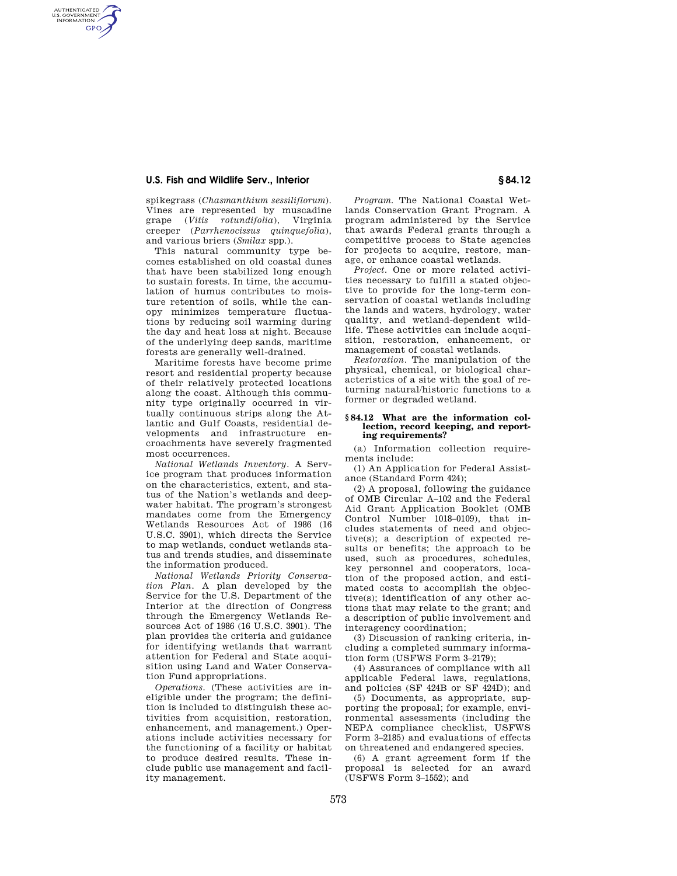## **U.S. Fish and Wildlife Serv., Interior § 84.12**

AUTHENTICATED<br>U.S. GOVERNMENT<br>INFORMATION **GPO** 

> spikegrass (*Chasmanthium sessiliflorum*). Vines are represented by muscadine grape (*Vitis rotundifolia*), Virginia creeper (*Parrhenocissus quinquefolia*), and various briers (*Smilax* spp.).

> This natural community type becomes established on old coastal dunes that have been stabilized long enough to sustain forests. In time, the accumulation of humus contributes to moisture retention of soils, while the canopy minimizes temperature fluctuations by reducing soil warming during the day and heat loss at night. Because of the underlying deep sands, maritime forests are generally well-drained.

> Maritime forests have become prime resort and residential property because of their relatively protected locations along the coast. Although this community type originally occurred in virtually continuous strips along the Atlantic and Gulf Coasts, residential developments and infrastructure encroachments have severely fragmented most occurrences.

> *National Wetlands Inventory.* A Service program that produces information on the characteristics, extent, and status of the Nation's wetlands and deepwater habitat. The program's strongest mandates come from the Emergency Wetlands Resources Act of 1986 (16 U.S.C. 3901), which directs the Service to map wetlands, conduct wetlands status and trends studies, and disseminate the information produced.

> *National Wetlands Priority Conservation Plan.* A plan developed by the Service for the U.S. Department of the Interior at the direction of Congress through the Emergency Wetlands Resources Act of 1986 (16 U.S.C. 3901). The plan provides the criteria and guidance for identifying wetlands that warrant attention for Federal and State acquisition using Land and Water Conservation Fund appropriations.

> *Operations.* (These activities are ineligible under the program; the definition is included to distinguish these activities from acquisition, restoration, enhancement, and management.) Operations include activities necessary for the functioning of a facility or habitat to produce desired results. These include public use management and facility management.

*Program.* The National Coastal Wetlands Conservation Grant Program. A program administered by the Service that awards Federal grants through a competitive process to State agencies for projects to acquire, restore, manage, or enhance coastal wetlands.

*Project.* One or more related activities necessary to fulfill a stated objective to provide for the long-term conservation of coastal wetlands including the lands and waters, hydrology, water quality, and wetland-dependent wildlife. These activities can include acquisition, restoration, enhancement, or management of coastal wetlands.

*Restoration.* The manipulation of the physical, chemical, or biological characteristics of a site with the goal of returning natural/historic functions to a former or degraded wetland.

### **§ 84.12 What are the information collection, record keeping, and reporting requirements?**

(a) Information collection requirements include:

(1) An Application for Federal Assistance (Standard Form 424);

(2) A proposal, following the guidance of OMB Circular A–102 and the Federal Aid Grant Application Booklet (OMB Control Number 1018–0109), that includes statements of need and objective(s); a description of expected results or benefits; the approach to be used, such as procedures, schedules, key personnel and cooperators, location of the proposed action, and estimated costs to accomplish the objective(s); identification of any other actions that may relate to the grant; and a description of public involvement and interagency coordination;

(3) Discussion of ranking criteria, including a completed summary information form (USFWS Form 3–2179);

(4) Assurances of compliance with all applicable Federal laws, regulations, and policies (SF 424B or SF 424D); and

(5) Documents, as appropriate, supporting the proposal; for example, environmental assessments (including the NEPA compliance checklist, USFWS Form 3–2185) and evaluations of effects on threatened and endangered species.

(6) A grant agreement form if the proposal is selected for an award (USFWS Form 3–1552); and